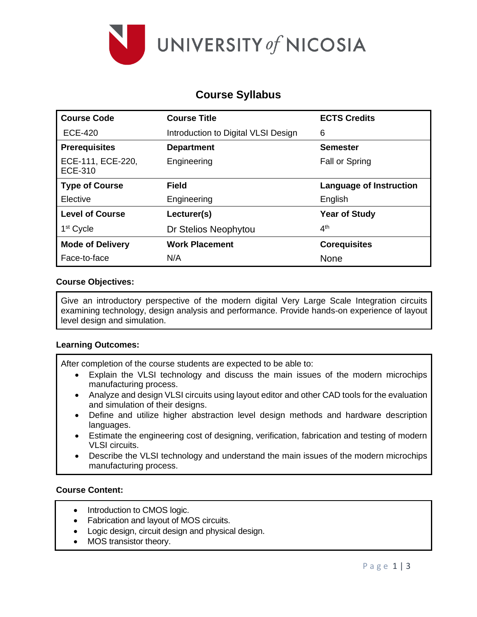

# **Course Syllabus**

| <b>Course Code</b>                  | <b>Course Title</b>                 | <b>ECTS Credits</b>     |
|-------------------------------------|-------------------------------------|-------------------------|
| <b>ECE-420</b>                      | Introduction to Digital VLSI Design | 6                       |
| <b>Prerequisites</b>                | <b>Department</b>                   | <b>Semester</b>         |
| ECE-111, ECE-220,<br><b>ECE-310</b> | Engineering                         | Fall or Spring          |
| <b>Type of Course</b>               | <b>Field</b>                        | Language of Instruction |
| Elective                            | Engineering                         | English                 |
| <b>Level of Course</b>              | Lecturer(s)                         | <b>Year of Study</b>    |
| 1 <sup>st</sup> Cycle               | Dr Stelios Neophytou                | 4 <sup>th</sup>         |
| <b>Mode of Delivery</b>             | <b>Work Placement</b>               | <b>Corequisites</b>     |
| Face-to-face                        | N/A                                 | <b>None</b>             |

## **Course Objectives:**

Give an introductory perspective of the modern digital Very Large Scale Integration circuits examining technology, design analysis and performance. Provide hands-on experience of layout level design and simulation.

#### **Learning Outcomes:**

After completion of the course students are expected to be able to:

- Explain the VLSI technology and discuss the main issues of the modern microchips manufacturing process.
- Analyze and design VLSI circuits using layout editor and other CAD tools for the evaluation and simulation of their designs.
- Define and utilize higher abstraction level design methods and hardware description languages.
- Estimate the engineering cost of designing, verification, fabrication and testing of modern VLSI circuits.
- Describe the VLSI technology and understand the main issues of the modern microchips manufacturing process.

## **Course Content:**

- Introduction to CMOS logic.
- Fabrication and layout of MOS circuits.
- Logic design, circuit design and physical design.
- MOS transistor theory.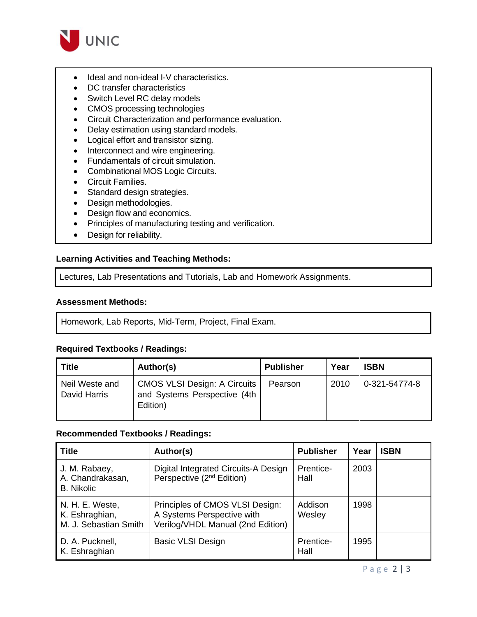

- Ideal and non-ideal I-V characteristics.
- DC transfer characteristics
- Switch Level RC delay models
- CMOS processing technologies
- Circuit Characterization and performance evaluation.
- Delay estimation using standard models.
- Logical effort and transistor sizing.
- Interconnect and wire engineering.
- Fundamentals of circuit simulation.
- Combinational MOS Logic Circuits.
- Circuit Families.
- Standard design strategies.
- Design methodologies.
- Design flow and economics.
- Principles of manufacturing testing and verification.
- Design for reliability.

## **Learning Activities and Teaching Methods:**

Lectures, Lab Presentations and Tutorials, Lab and Homework Assignments.

#### **Assessment Methods:**

Homework, Lab Reports, Mid-Term, Project, Final Exam.

## **Required Textbooks / Readings:**

| <b>Title</b>                   | Author(s)                                                                       | <b>Publisher</b> | Year | <b>ISBN</b>   |
|--------------------------------|---------------------------------------------------------------------------------|------------------|------|---------------|
| Neil Weste and<br>David Harris | <b>CMOS VLSI Design: A Circuits</b><br>and Systems Perspective (4th<br>Edition) | Pearson          | 2010 | 0-321-54774-8 |

#### **Recommended Textbooks / Readings:**

| <b>Title</b>                                               | Author(s)                                                                                          | <b>Publisher</b>  | Year | <b>ISBN</b> |
|------------------------------------------------------------|----------------------------------------------------------------------------------------------------|-------------------|------|-------------|
| J. M. Rabaey,<br>A. Chandrakasan,<br><b>B.</b> Nikolic     | Digital Integrated Circuits-A Design<br>Perspective (2 <sup>nd</sup> Edition)                      | Prentice-<br>Hall | 2003 |             |
| N. H. E. Weste,<br>K. Eshraghian,<br>M. J. Sebastian Smith | Principles of CMOS VLSI Design:<br>A Systems Perspective with<br>Verilog/VHDL Manual (2nd Edition) | Addison<br>Wesley | 1998 |             |
| D. A. Pucknell,<br>K. Eshraghian                           | <b>Basic VLSI Design</b>                                                                           | Prentice-<br>Hall | 1995 |             |